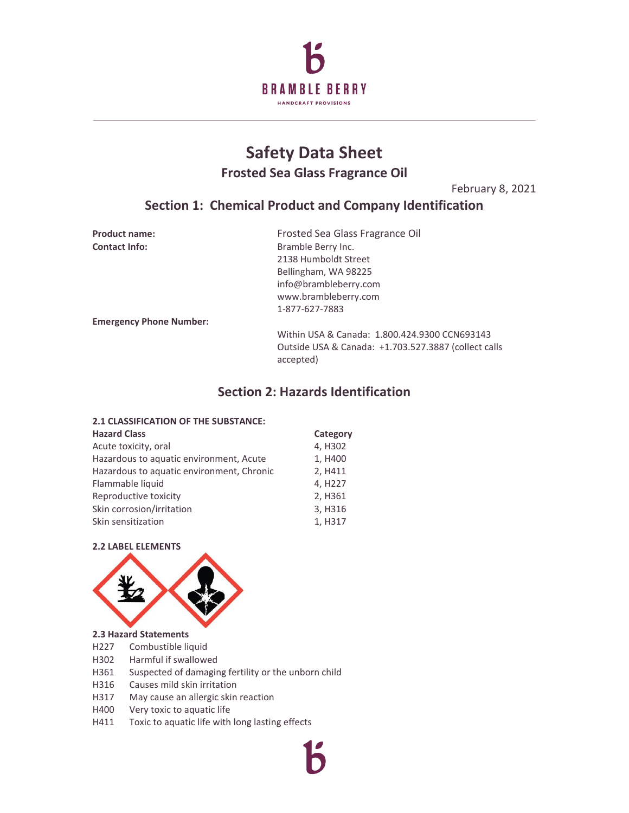

# **Safety Data Sheet Frosted Sea Glass Fragrance Oil**

February 8, 2021

## **Section 1: Chemical Product and Company Identification**

| <b>Product name:</b>           | Frosted Sea Glass Fragrance Oil                      |
|--------------------------------|------------------------------------------------------|
| <b>Contact Info:</b>           | Bramble Berry Inc.                                   |
|                                | 2138 Humboldt Street                                 |
|                                | Bellingham, WA 98225                                 |
|                                | info@brambleberry.com                                |
|                                | www.brambleberry.com                                 |
|                                | 1-877-627-7883                                       |
| <b>Emergency Phone Number:</b> |                                                      |
|                                | Within USA & Canada: 1.800.424.9300 CCN693143        |
|                                | Outside USA & Canada: +1.703.527.3887 (collect calls |

## **Section 2: Hazards Identification**

accepted)

### **2.1 CLASSIFICATION OF THE SUBSTANCE:**

| <b>Hazard Class</b>                       | Category             |
|-------------------------------------------|----------------------|
| Acute toxicity, oral                      | 4, H302              |
| Hazardous to aquatic environment, Acute   | 1, H400              |
| Hazardous to aquatic environment, Chronic | 2, H411              |
| Flammable liquid                          | 4, H <sub>22</sub> 7 |
| Reproductive toxicity                     | 2, H361              |
| Skin corrosion/irritation                 | 3, H316              |
| Skin sensitization                        | 1, H317              |

### **2.2 LABEL ELEMENTS**



#### **2.3 Hazard Statements**

- H227 Combustible liquid
- H302 Harmful if swallowed
- H361 Suspected of damaging fertility or the unborn child
- H316 Causes mild skin irritation
- H317 May cause an allergic skin reaction
- H400 Very toxic to aquatic life
- H411 Toxic to aquatic life with long lasting effects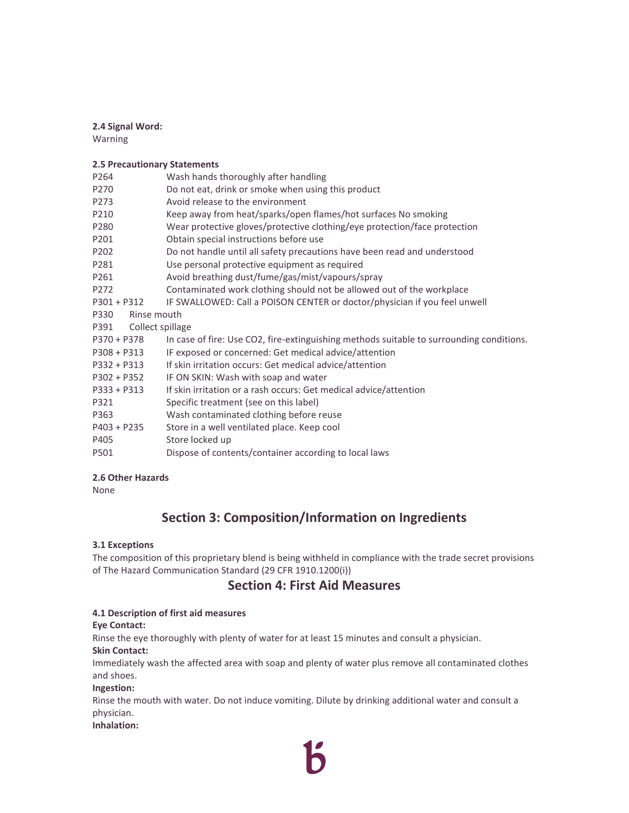### **2.4 Signal Word:**

Warning

### **2.5 Precautionary Statements**

| P264                     | Wash hands thoroughly after handling                                                     |
|--------------------------|------------------------------------------------------------------------------------------|
| P270                     | Do not eat, drink or smoke when using this product                                       |
| P273                     | Avoid release to the environment                                                         |
| P210                     | Keep away from heat/sparks/open flames/hot surfaces No smoking                           |
| P280                     | Wear protective gloves/protective clothing/eye protection/face protection                |
| P201                     | Obtain special instructions before use                                                   |
| P202                     | Do not handle until all safety precautions have been read and understood                 |
| P281                     | Use personal protective equipment as required                                            |
| P261                     | Avoid breathing dust/fume/gas/mist/vapours/spray                                         |
| P272                     | Contaminated work clothing should not be allowed out of the workplace                    |
| $P301 + P312$            | IF SWALLOWED: Call a POISON CENTER or doctor/physician if you feel unwell                |
| P330<br>Rinse mouth      |                                                                                          |
| Collect spillage<br>P391 |                                                                                          |
| $P370 + P378$            | In case of fire: Use CO2, fire-extinguishing methods suitable to surrounding conditions. |
| $P308 + P313$            | IF exposed or concerned: Get medical advice/attention                                    |
| $P332 + P313$            | If skin irritation occurs: Get medical advice/attention                                  |
| $P302 + P352$            | IF ON SKIN: Wash with soap and water                                                     |
| $P333 + P313$            | If skin irritation or a rash occurs: Get medical advice/attention                        |
| P321                     | Specific treatment (see on this label)                                                   |
| P363                     | Wash contaminated clothing before reuse                                                  |
| $P403 + P235$            | Store in a well ventilated place. Keep cool                                              |
| P405                     | Store locked up                                                                          |
| P501                     | Dispose of contents/container according to local laws                                    |

#### **2.6 Other Hazards**

None

## **Section 3: Composition/Information on Ingredients**

### **3.1 Exceptions**

The composition of this proprietary blend is being withheld in compliance with the trade secret provisions of The Hazard Communication Standard (29 CFR 1910.1200(i))

### **Section 4: First Aid Measures**

#### **4.1 Description of first aid measures**

#### **Eye Contact:**

Rinse the eye thoroughly with plenty of water for at least 15 minutes and consult a physician.

### **Skin Contact:**

Immediately wash the affected area with soap and plenty of water plus remove all contaminated clothes and shoes.

#### **Ingestion:**

Rinse the mouth with water. Do not induce vomiting. Dilute by drinking additional water and consult a physician.

#### **Inhalation:**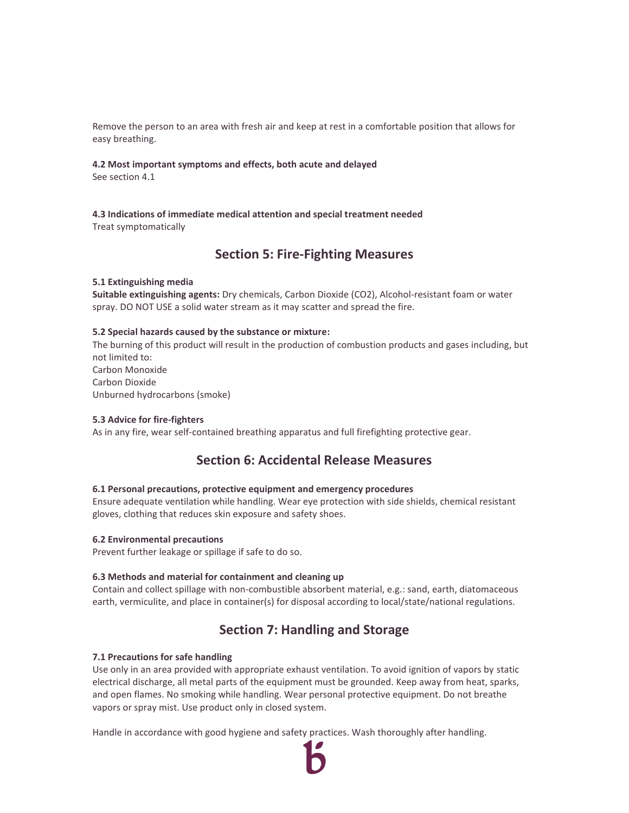Remove the person to an area with fresh air and keep at rest in a comfortable position that allows for easy breathing.

### **4.2 Most important symptoms and effects, both acute and delayed**

See section 4.1

**4.3 Indications of immediate medical attention and special treatment needed**  Treat symptomatically

## **Section 5: Fire-Fighting Measures**

### **5.1 Extinguishing media**

**Suitable extinguishing agents:** Dry chemicals, Carbon Dioxide (CO2), Alcohol-resistant foam or water spray. DO NOT USE a solid water stream as it may scatter and spread the fire.

### **5.2 Special hazards caused by the substance or mixture:**

The burning of this product will result in the production of combustion products and gases including, but not limited to: Carbon Monoxide Carbon Dioxide Unburned hydrocarbons (smoke)

### **5.3 Advice for fire-fighters**

As in any fire, wear self-contained breathing apparatus and full firefighting protective gear.

## **Section 6: Accidental Release Measures**

#### **6.1 Personal precautions, protective equipment and emergency procedures**

Ensure adequate ventilation while handling. Wear eye protection with side shields, chemical resistant gloves, clothing that reduces skin exposure and safety shoes.

#### **6.2 Environmental precautions**

Prevent further leakage or spillage if safe to do so.

#### **6.3 Methods and material for containment and cleaning up**

Contain and collect spillage with non-combustible absorbent material, e.g.: sand, earth, diatomaceous earth, vermiculite, and place in container(s) for disposal according to local/state/national regulations.

## **Section 7: Handling and Storage**

#### **7.1 Precautions for safe handling**

Use only in an area provided with appropriate exhaust ventilation. To avoid ignition of vapors by static electrical discharge, all metal parts of the equipment must be grounded. Keep away from heat, sparks, and open flames. No smoking while handling. Wear personal protective equipment. Do not breathe vapors or spray mist. Use product only in closed system.

Handle in accordance with good hygiene and safety practices. Wash thoroughly after handling.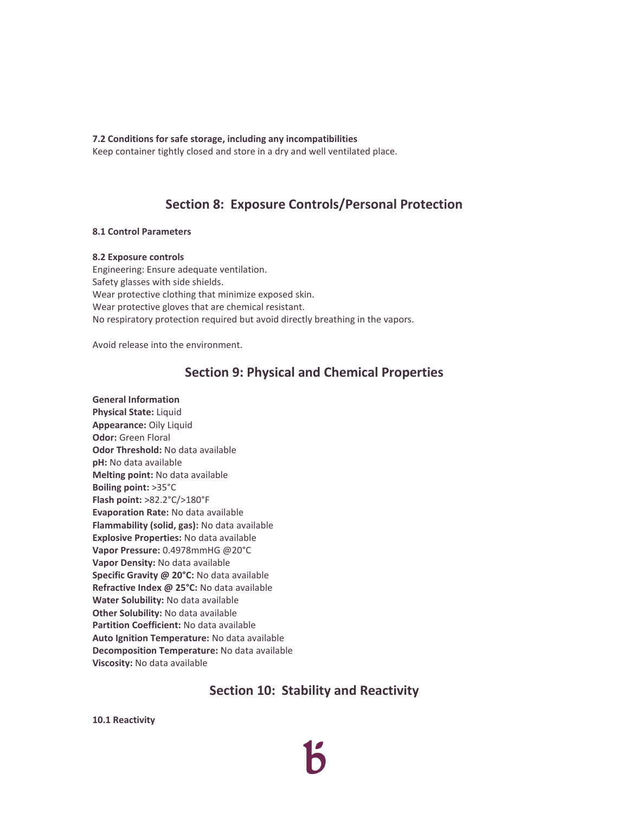**7.2 Conditions for safe storage, including any incompatibilities**

Keep container tightly closed and store in a dry and well ventilated place.

## **Section 8: Exposure Controls/Personal Protection**

### **8.1 Control Parameters**

### **8.2 Exposure controls**

Engineering: Ensure adequate ventilation. Safety glasses with side shields. Wear protective clothing that minimize exposed skin. Wear protective gloves that are chemical resistant. No respiratory protection required but avoid directly breathing in the vapors.

Avoid release into the environment.

## **Section 9: Physical and Chemical Properties**

### **General Information**

**Physical State:** Liquid **Appearance:** Oily Liquid **Odor:** Green Floral **Odor Threshold:** No data available **pH:** No data available **Melting point:** No data available **Boiling point:** >35°C **Flash point:** >82.2°C/>180°F **Evaporation Rate:** No data available **Flammability (solid, gas):** No data available **Explosive Properties:** No data available **Vapor Pressure:** 0.4978mmHG @20°C **Vapor Density:** No data available **Specific Gravity @ 20°C:** No data available **Refractive Index @ 25°C:** No data available **Water Solubility:** No data available **Other Solubility:** No data available **Partition Coefficient:** No data available **Auto Ignition Temperature:** No data available **Decomposition Temperature:** No data available **Viscosity:** No data available

## **Section 10: Stability and Reactivity**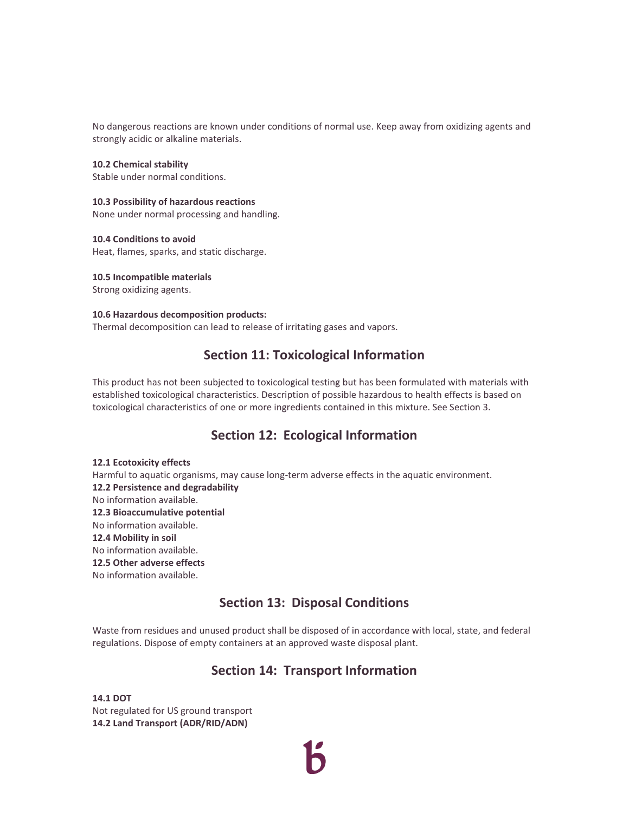No dangerous reactions are known under conditions of normal use. Keep away from oxidizing agents and strongly acidic or alkaline materials.

**10.2 Chemical stability**  Stable under normal conditions.

### **10.3 Possibility of hazardous reactions**

None under normal processing and handling.

**10.4 Conditions to avoid**  Heat, flames, sparks, and static discharge.

**10.5 Incompatible materials**  Strong oxidizing agents.

### **10.6 Hazardous decomposition products:**

Thermal decomposition can lead to release of irritating gases and vapors.

## **Section 11: Toxicological Information**

This product has not been subjected to toxicological testing but has been formulated with materials with established toxicological characteristics. Description of possible hazardous to health effects is based on toxicological characteristics of one or more ingredients contained in this mixture. See Section 3.

## **Section 12: Ecological Information**

**12.1 Ecotoxicity effects**  Harmful to aquatic organisms, may cause long-term adverse effects in the aquatic environment. **12.2 Persistence and degradability** No information available. **12.3 Bioaccumulative potential** No information available. **12.4 Mobility in soil** No information available. **12.5 Other adverse effects** No information available.

## **Section 13: Disposal Conditions**

Waste from residues and unused product shall be disposed of in accordance with local, state, and federal regulations. Dispose of empty containers at an approved waste disposal plant.

## **Section 14: Transport Information**

**14.1 DOT**  Not regulated for US ground transport **14.2 Land Transport (ADR/RID/ADN)**